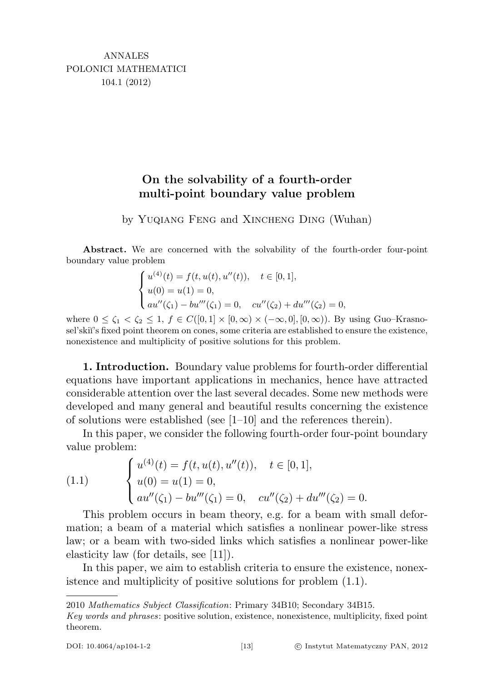## On the solvability of a fourth-order multi-point boundary value problem

by Yuqiang Feng and Xincheng Ding (Wuhan)

Abstract. We are concerned with the solvability of the fourth-order four-point boundary value problem

$$
\begin{cases}\nu^{(4)}(t) = f(t, u(t), u''(t)), & t \in [0, 1], \\
u(0) = u(1) = 0, \\
au''(\zeta_1) - bu'''(\zeta_1) = 0, & cu''(\zeta_2) + du'''(\zeta_2) = 0,\n\end{cases}
$$

where  $0 \le \zeta_1 < \zeta_2 \le 1$ ,  $f \in C([0,1] \times [0,\infty) \times (-\infty,0], [0,\infty))$ . By using Guo–Krasnosel'skiï's fixed point theorem on cones, some criteria are established to ensure the existence, nonexistence and multiplicity of positive solutions for this problem.

1. Introduction. Boundary value problems for fourth-order differential equations have important applications in mechanics, hence have attracted considerable attention over the last several decades. Some new methods were developed and many general and beautiful results concerning the existence of solutions were established (see [1–10] and the references therein).

In this paper, we consider the following fourth-order four-point boundary value problem:

(1.1) 
$$
\begin{cases} u^{(4)}(t) = f(t, u(t), u''(t)), & t \in [0, 1], \\ u(0) = u(1) = 0, \\ au''(\zeta_1) - bu'''(\zeta_1) = 0, & cu''(\zeta_2) + du'''(\zeta_2) = 0. \end{cases}
$$

This problem occurs in beam theory, e.g. for a beam with small deformation; a beam of a material which satisfies a nonlinear power-like stress law; or a beam with two-sided links which satisfies a nonlinear power-like elasticity law (for details, see [11]).

In this paper, we aim to establish criteria to ensure the existence, nonexistence and multiplicity of positive solutions for problem (1.1).

<sup>2010</sup> Mathematics Subject Classification: Primary 34B10; Secondary 34B15.

Key words and phrases: positive solution, existence, nonexistence, multiplicity, fixed point theorem.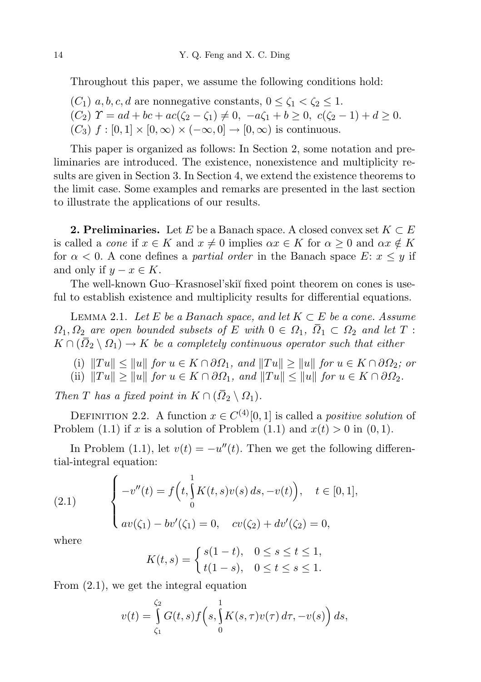Throughout this paper, we assume the following conditions hold:

 $(C_1)$  a, b, c, d are nonnegative constants,  $0 \le \zeta_1 < \zeta_2 \le 1$ .  $(C_2)$   $\Upsilon = ad + bc + ac(\zeta_2 - \zeta_1) \neq 0$ ,  $-a\zeta_1 + b \geq 0$ ,  $c(\zeta_2 - 1) + d \geq 0$ .  $(C_3)$  f :  $[0, 1] \times [0, \infty) \times (-\infty, 0] \rightarrow [0, \infty)$  is continuous.

This paper is organized as follows: In Section 2, some notation and preliminaries are introduced. The existence, nonexistence and multiplicity results are given in Section 3. In Section 4, we extend the existence theorems to the limit case. Some examples and remarks are presented in the last section to illustrate the applications of our results.

**2. Preliminaries.** Let E be a Banach space. A closed convex set  $K \subset E$ is called a *cone* if  $x \in K$  and  $x \neq 0$  implies  $\alpha x \in K$  for  $\alpha \geq 0$  and  $\alpha x \notin K$ for  $\alpha < 0$ . A cone defines a *partial order* in the Banach space E:  $x \leq y$  if and only if  $y - x \in K$ .

The well-known Guo–Krasnosel'skiï fixed point theorem on cones is useful to establish existence and multiplicity results for differential equations.

LEMMA 2.1. Let E be a Banach space, and let  $K \subset E$  be a cone. Assume  $\Omega_1, \Omega_2$  are open bounded subsets of E with  $0 \in \Omega_1$ ,  $\overline{\Omega}_1 \subset \Omega_2$  and let T:  $K \cap (\overline{\Omega}_2 \setminus \Omega_1) \to K$  be a completely continuous operator such that either

(i)  $||Tu|| \le ||u||$  for  $u \in K \cap \partial \Omega_1$ , and  $||Tu|| \ge ||u||$  for  $u \in K \cap \partial \Omega_2$ ; or (ii)  $||Tu|| \ge ||u||$  for  $u \in K \cap \partial \Omega_1$ , and  $||Tu|| \le ||u||$  for  $u \in K \cap \partial \Omega_2$ .

Then T has a fixed point in  $K \cap (\overline{\Omega}_2 \setminus \Omega_1)$ .

DEFINITION 2.2. A function  $x \in C^{(4)}[0,1]$  is called a *positive solution* of Problem (1.1) if x is a solution of Problem (1.1) and  $x(t) > 0$  in (0, 1).

In Problem (1.1), let  $v(t) = -u''(t)$ . Then we get the following differential-integral equation:

(2.1) 
$$
\begin{cases} -v''(t) = f\left(t, \int_0^1 K(t,s)v(s) ds, -v(t)\right), & t \in [0,1], \\ av(\zeta_1) - bv'(\zeta_1) = 0, & cv(\zeta_2) + dv'(\zeta_2) = 0, \end{cases}
$$

where

$$
K(t,s) = \begin{cases} s(1-t), & 0 \le s \le t \le 1, \\ t(1-s), & 0 \le t \le s \le 1. \end{cases}
$$

From (2.1), we get the integral equation

$$
v(t) = \int\limits_{\zeta_1}^{\zeta_2} G(t,s) f\left(s, \int\limits_0^1 K(s,\tau) v(\tau) d\tau, -v(s)\right) ds,
$$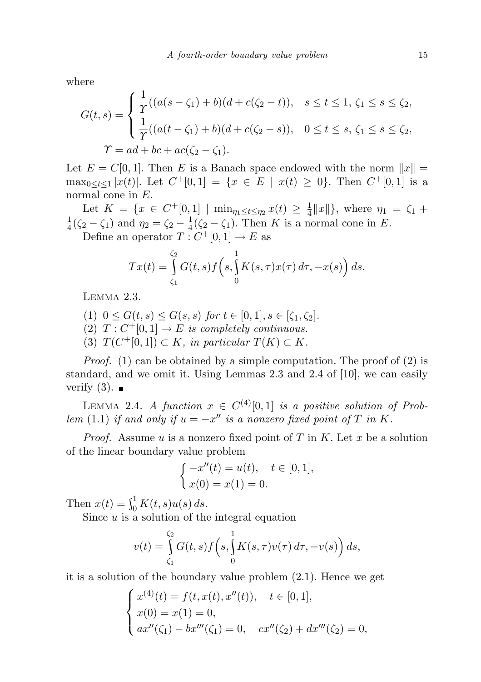where

$$
G(t,s) = \begin{cases} \frac{1}{T}((a(s-\zeta_1)+b)(d+c(\zeta_2-t)), & s \le t \le 1, \, \zeta_1 \le s \le \zeta_2, \\ \frac{1}{T}((a(t-\zeta_1)+b)(d+c(\zeta_2-s)), & 0 \le t \le s, \, \zeta_1 \le s \le \zeta_2, \\ T = ad + bc + ac(\zeta_2 - \zeta_1). \end{cases}
$$

Let  $E = C[0, 1]$ . Then E is a Banach space endowed with the norm  $||x|| =$  $\max_{0 \leq t \leq 1} |x(t)|$ . Let  $C^+[0,1] = \{x \in E \mid x(t) \geq 0\}$ . Then  $C^+[0,1]$  is a normal cone in  $E$ .

Let  $K = \{x \in C^+[0,1] \mid \min_{\eta_1 \leq t \leq \eta_2} x(t) \geq \frac{1}{4}\}$  $\frac{1}{4}||x||$ , where  $\eta_1 = \zeta_1 +$ 1  $\frac{1}{4}(\zeta_2 - \zeta_1)$  and  $\eta_2 = \zeta_2 - \frac{1}{4}$  $\frac{1}{4}(\zeta_2-\zeta_1)$ . Then K is a normal cone in E.

Define an operator  $T: C^{+}[0,1] \to E$  as

$$
Tx(t) = \int_{\zeta_1}^{\zeta_2} G(t,s) f\left(s, \int_0^1 K(s,\tau) x(\tau) d\tau, -x(s)\right) ds.
$$

LEMMA 2.3.

- (1)  $0 \le G(t, s) \le G(s, s)$  for  $t \in [0, 1], s \in [\zeta_1, \zeta_2].$ (2)  $T: C^+[0,1] \to E$  is completely continuous.
- (3)  $T(C^+[0,1]) \subset K$ , in particular  $T(K) \subset K$ .

*Proof.* (1) can be obtained by a simple computation. The proof of (2) is standard, and we omit it. Using Lemmas 2.3 and 2.4 of [10], we can easily verify  $(3)$ .

LEMMA 2.4. A function  $x \in C^{(4)}[0,1]$  is a positive solution of Problem (1.1) if and only if  $u = -x''$  is a nonzero fixed point of T in K.

*Proof.* Assume u is a nonzero fixed point of T in K. Let x be a solution of the linear boundary value problem

$$
\begin{cases}\n-x''(t) = u(t), & t \in [0,1], \\
x(0) = x(1) = 0.\n\end{cases}
$$

Then  $x(t) = \int_0^1 K(t, s) u(s) ds$ .

Since  $u$  is a solution of the integral equation

$$
v(t) = \int\limits_{\zeta_1}^{\zeta_2} G(t,s) f\Big(s,\int\limits_0^1 K(s,\tau) v(\tau)\,d\tau, -v(s)\Big)\,ds,
$$

it is a solution of the boundary value problem (2.1). Hence we get

$$
\begin{cases}\nx^{(4)}(t) = f(t, x(t), x''(t)), & t \in [0, 1], \\
x(0) = x(1) = 0, \\
ax''(\zeta_1) - bx'''(\zeta_1) = 0, & cx''(\zeta_2) + dx'''(\zeta_2) = 0,\n\end{cases}
$$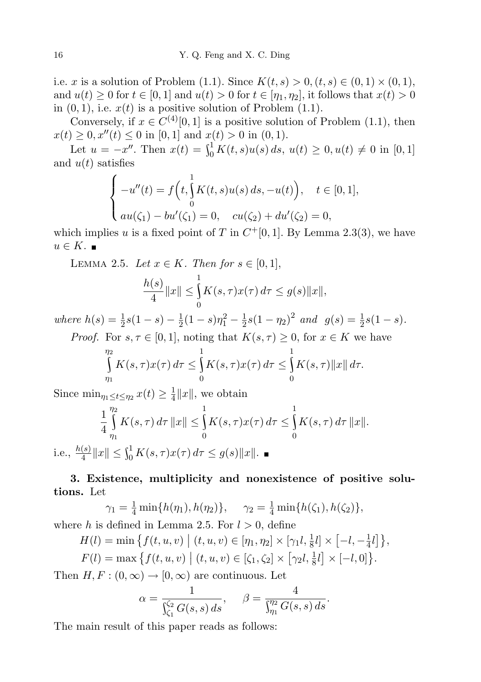i.e. x is a solution of Problem (1.1). Since  $K(t, s) > 0, (t, s) \in (0, 1) \times (0, 1)$ , and  $u(t) \geq 0$  for  $t \in [0, 1]$  and  $u(t) > 0$  for  $t \in [\eta_1, \eta_2]$ , it follows that  $x(t) > 0$ in  $(0, 1)$ , i.e.  $x(t)$  is a positive solution of Problem  $(1.1)$ .

Conversely, if  $x \in C^{(4)}[0,1]$  is a positive solution of Problem (1.1), then  $x(t) \geq 0, x''(t) \leq 0$  in [0, 1] and  $x(t) > 0$  in (0, 1).

Let  $u = -x''$ . Then  $x(t) = \int_0^1 K(t, s)u(s) ds$ ,  $u(t) \geq 0$ ,  $u(t) \neq 0$  in [0, 1] and  $u(t)$  satisfies

$$
\begin{cases}\n-u''(t) = f\left(t, \int_0^1 K(t, s)u(s) ds, -u(t)\right), & t \in [0, 1], \\
\int_0^1 au(\zeta_1) - bu'(\zeta_1) = 0, & cu(\zeta_2) + du'(\zeta_2) = 0,\n\end{cases}
$$

which implies u is a fixed point of T in  $C^{+}[0,1]$ . By Lemma 2.3(3), we have  $u \in K$ .

LEMMA 2.5. Let  $x \in K$ . Then for  $s \in [0,1]$ ,

$$
\frac{h(s)}{4}||x|| \le \int_{0}^{1} K(s,\tau)x(\tau) d\tau \le g(s)||x||,
$$

where  $h(s) = \frac{1}{2}s(1-s) - \frac{1}{2}$  $\frac{1}{2}(1-s)\eta_1^2-\frac{1}{2}$  $\frac{1}{2}s(1-\eta_2)^2$  and  $g(s) = \frac{1}{2}s(1-s)$ . *Proof.* For  $s, \tau \in [0, 1]$ , noting that  $K(s, \tau) \geq 0$ , for  $x \in K$  we have

$$
\int_{\eta_1}^{\eta_2} K(s,\tau)x(\tau) d\tau \leq \int_0^1 K(s,\tau)x(\tau) d\tau \leq \int_0^1 K(s,\tau) ||x|| d\tau.
$$

Since  $\min_{\eta_1 \leq t \leq \eta_2} x(t) \geq \frac{1}{4}$  $\frac{1}{4}||x||$ , we obtain

$$
\frac{1}{4} \int_{\eta_1}^{\eta_2} K(s,\tau) \, d\tau \, \|x\| \le \int_0^1 K(s,\tau) x(\tau) \, d\tau \le \int_0^1 K(s,\tau) \, d\tau \, \|x\|.
$$
\n
$$
\frac{h(s)}{4} \|x\| \le \int_0^1 K(s,\tau) x(\tau) \, d\tau \le g(s) \|x\|. \blacksquare
$$

## 3. Existence, multiplicity and nonexistence of positive solutions. Let

$$
\gamma_1 = \frac{1}{4} \min\{h(\eta_1), h(\eta_2)\}, \quad \gamma_2 = \frac{1}{4} \min\{h(\zeta_1), h(\zeta_2)\},
$$
  
where *h* is defined in Lemma 2.5. For *l* > 0, define

$$
H(l) = \min \left\{ f(t, u, v) \mid (t, u, v) \in [\eta_1, \eta_2] \times [\gamma_1 l, \frac{1}{8}l] \times [-l, -\frac{1}{4}l] \right\},
$$
  

$$
F(l) = \max \left\{ f(t, u, v) \mid (t, u, v) \in [\zeta_1, \zeta_2] \times [\gamma_2 l, \frac{1}{8}l] \times [-l, 0] \right\}.
$$

Then  $H, F: (0, \infty) \to [0, \infty)$  are continuous. Let

$$
\alpha = \frac{1}{\int_{\zeta_1}^{\zeta_2} G(s, s) ds}, \quad \beta = \frac{4}{\int_{\eta_1}^{\eta_2} G(s, s) ds}.
$$

The main result of this paper reads as follows:

i.e.,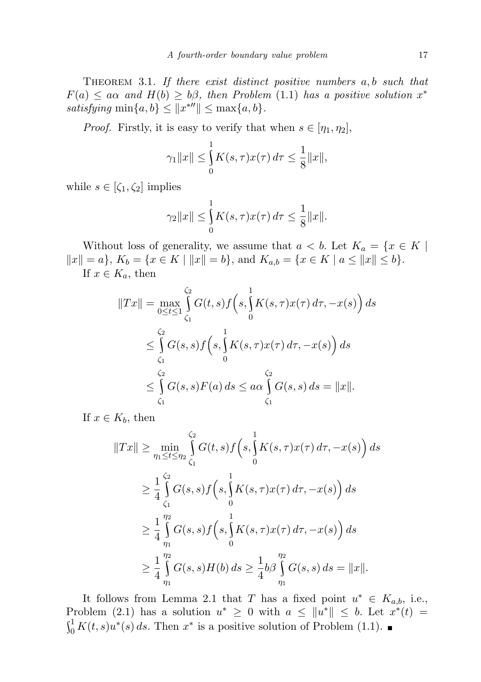THEOREM 3.1. If there exist distinct positive numbers a, b such that  $F(a) \leq a\alpha$  and  $H(b) \geq b\beta$ , then Problem (1.1) has a positive solution  $x^*$ satisfying  $\min\{a, b\} \leq ||x^{*\prime\prime}|| \leq \max\{a, b\}.$ 

*Proof.* Firstly, it is easy to verify that when  $s \in [\eta_1, \eta_2]$ ,

$$
\gamma_1 \|x\| \le \int_0^1 K(s,\tau)x(\tau) \, d\tau \le \frac{1}{8} \|x\|,
$$

while  $s \in [\zeta_1, \zeta_2]$  implies

$$
\gamma_2 \|x\| \le \int_0^1 K(s,\tau)x(\tau) \, d\tau \le \frac{1}{8} \|x\|.
$$

Without loss of generality, we assume that  $a < b$ . Let  $K_a = \{x \in K \mid$  $||x|| = a$ ,  $K_b = \{x \in K \mid ||x|| = b\}$ , and  $K_{a,b} = \{x \in K \mid a \le ||x|| \le b\}$ . If  $x \in K_a$ , then

$$
||Tx|| = \max_{0 \le t \le 1} \int_{\zeta_1}^{\zeta_2} G(t, s) f(s, \int_0^1 K(s, \tau) x(\tau) d\tau, -x(s)) ds
$$
  
\n
$$
\le \int_{\zeta_1}^{\zeta_2} G(s, s) f(s, \int_0^1 K(s, \tau) x(\tau) d\tau, -x(s)) ds
$$
  
\n
$$
\le \int_{\zeta_1}^{\zeta_2} G(s, s) F(a) ds \le a\alpha \int_{\zeta_1}^{\zeta_2} G(s, s) ds = ||x||.
$$

If  $x \in K_b$ , then

$$
||Tx|| \ge \min_{\eta_1 \le t \le \eta_2} \int_{\zeta_1}^{\zeta_2} G(t,s) f(s, \int_0^1 K(s,\tau) x(\tau) d\tau, -x(s)) ds
$$
  
\n
$$
\ge \frac{1}{4} \int_{\zeta_1}^{\zeta_2} G(s,s) f(s, \int_0^1 K(s,\tau) x(\tau) d\tau, -x(s)) ds
$$
  
\n
$$
\ge \frac{1}{4} \int_{\eta_1}^{\eta_2} G(s,s) f(s, \int_0^1 K(s,\tau) x(\tau) d\tau, -x(s)) ds
$$
  
\n
$$
\ge \frac{1}{4} \int_{\eta_1}^{\eta_2} G(s,s) H(b) ds \ge \frac{1}{4} b \beta \int_{\eta_1}^{\eta_2} G(s,s) ds = ||x||.
$$

It follows from Lemma 2.1 that T has a fixed point  $u^* \in K_{a,b}$ , i.e., Problem (2.1) has a solution  $u^* \geq 0$  with  $a \leq ||u^*|| \leq b$ . Let  $x^*(t) =$  $\int_0^1 K(t,s)u^*(s) ds$ . Then  $x^*$  is a positive solution of Problem (1.1).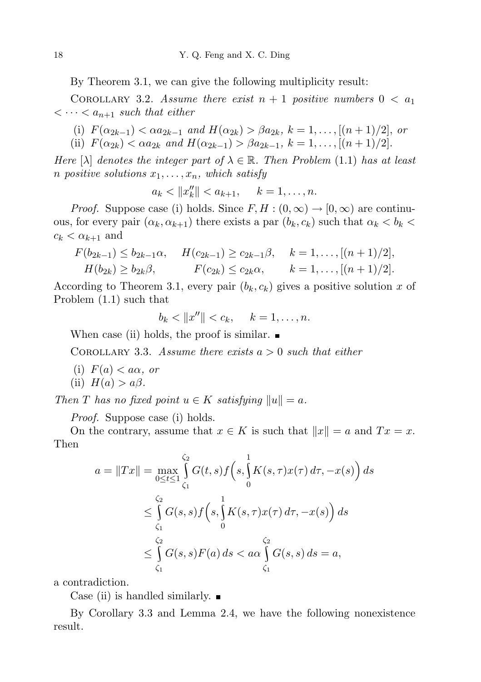By Theorem 3.1, we can give the following multiplicity result:

COROLLARY 3.2. Assume there exist  $n + 1$  positive numbers  $0 < a_1$  $\langle \cdots \langle a_{n+1} \rangle$  such that either

(i)  $F(\alpha_{2k-1}) < \alpha a_{2k-1}$  and  $H(\alpha_{2k}) > \beta a_{2k}, k = 1, ..., [(n + 1)/2],$  or (ii)  $F(\alpha_{2k}) < \alpha a_{2k}$  and  $H(\alpha_{2k-1}) > \beta a_{2k-1}, k = 1, \ldots, [(n+1)/2].$ 

Here  $[\lambda]$  denotes the integer part of  $\lambda \in \mathbb{R}$ . Then Problem (1.1) has at least

n positive solutions  $x_1, \ldots, x_n$ , which satisfy

$$
a_k < ||x''_k|| < a_{k+1}, \quad k = 1, \ldots, n.
$$

*Proof.* Suppose case (i) holds. Since  $F, H : (0, \infty) \to [0, \infty)$  are continuous, for every pair  $(\alpha_k, \alpha_{k+1})$  there exists a par  $(b_k, c_k)$  such that  $\alpha_k < b_k$  $c_k < \alpha_{k+1}$  and

$$
F(b_{2k-1}) \le b_{2k-1}\alpha, \quad H(c_{2k-1}) \ge c_{2k-1}\beta, \quad k = 1, ..., [(n+1)/2],
$$
  
\n
$$
H(b_{2k}) \ge b_{2k}\beta, \quad F(c_{2k}) \le c_{2k}\alpha, \quad k = 1, ..., [(n+1)/2].
$$

According to Theorem 3.1, every pair  $(b_k, c_k)$  gives a positive solution x of Problem (1.1) such that

 $b_k < ||x''|| < c_k, \quad k = 1, \ldots, n.$ 

When case (ii) holds, the proof is similar.  $\blacksquare$ 

COROLLARY 3.3. Assume there exists  $a > 0$  such that either

- (i)  $F(a) < a\alpha$ , or
- (ii)  $H(a) > a\beta$ .

Then T has no fixed point  $u \in K$  satisfying  $||u|| = a$ .

*Proof.* Suppose case (i) holds.

On the contrary, assume that  $x \in K$  is such that  $||x|| = a$  and  $Tx = x$ . Then

$$
a = \|Tx\| = \max_{0 \le t \le 1} \int_{\zeta_1}^{\zeta_2} G(t, s) f(s, \int_0^1 K(s, \tau) x(\tau) d\tau, -x(s)) ds
$$
  

$$
\le \int_{\zeta_1}^{\zeta_2} G(s, s) f(s, \int_0^1 K(s, \tau) x(\tau) d\tau, -x(s)) ds
$$
  

$$
\le \int_{\zeta_1}^{\zeta_2} G(s, s) F(a) ds < a \alpha \int_{\zeta_1}^{\zeta_2} G(s, s) ds = a,
$$

a contradiction.

Case (ii) is handled similarly.  $\blacksquare$ 

By Corollary 3.3 and Lemma 2.4, we have the following nonexistence result.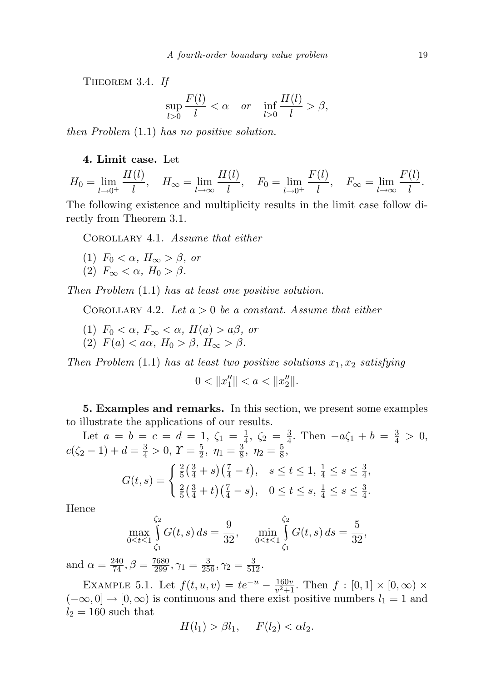THEOREM 3.4. If

$$
\sup_{l>0} \frac{F(l)}{l} < \alpha \quad \text{or} \quad \inf_{l>0} \frac{H(l)}{l} > \beta,
$$

then Problem (1.1) has no positive solution.

## 4. Limit case. Let

$$
H_0 = \lim_{l \to 0^+} \frac{H(l)}{l}, \quad H_{\infty} = \lim_{l \to \infty} \frac{H(l)}{l}, \quad F_0 = \lim_{l \to 0^+} \frac{F(l)}{l}, \quad F_{\infty} = \lim_{l \to \infty} \frac{F(l)}{l}.
$$

The following existence and multiplicity results in the limit case follow directly from Theorem 3.1.

Corollary 4.1. Assume that either

- (1)  $F_0 < \alpha$ ,  $H_{\infty} > \beta$ , or
- (2)  $F_{\infty} < \alpha$ ,  $H_0 > \beta$ .

Then Problem (1.1) has at least one positive solution.

COROLLARY 4.2. Let  $a > 0$  be a constant. Assume that either

- (1)  $F_0 < \alpha$ ,  $F_{\infty} < \alpha$ ,  $H(a) > a\beta$ , or
- (2)  $F(a) < a\alpha$ ,  $H_0 > \beta$ ,  $H_{\infty} > \beta$ .

Then Problem  $(1.1)$  has at least two positive solutions  $x_1, x_2$  satisfying

 $0 < ||x_1''|| < a < ||x_2''||.$ 

5. Examples and remarks. In this section, we present some examples to illustrate the applications of our results.

Let  $a = b = c = d = 1, \zeta_1 = \frac{1}{4}$  $\frac{1}{4}$ ,  $\zeta_2 = \frac{3}{4}$  $\frac{3}{4}$ . Then  $-a\zeta_1 + b = \frac{3}{4} > 0$ ,  $c(\zeta_2-1)+d=\frac{3}{4}>0, \Upsilon=\frac{5}{2}$  $\frac{5}{2}, \eta_1 = \frac{3}{8}$  $\frac{3}{8}, \eta_2 = \frac{5}{8}$  $\frac{5}{8}$ ,

$$
G(t,s) = \begin{cases} \frac{2}{5} \left( \frac{3}{4} + s \right) \left( \frac{7}{4} - t \right), & s \leq t \leq 1, \frac{1}{4} \leq s \leq \frac{3}{4}, \\ \frac{2}{5} \left( \frac{3}{4} + t \right) \left( \frac{7}{4} - s \right), & 0 \leq t \leq s, \frac{1}{4} \leq s \leq \frac{3}{4}. \end{cases}
$$

Hence

$$
\max_{0 \le t \le 1} \int_{\zeta_1}^{\zeta_2} G(t, s) \, ds = \frac{9}{32}, \quad \min_{0 \le t \le 1} \int_{\zeta_1}^{\zeta_2} G(t, s) \, ds = \frac{5}{32},
$$

and  $\alpha = \frac{240}{74}, \beta = \frac{7680}{299}, \gamma_1 = \frac{3}{256}, \gamma_2 = \frac{3}{512}.$ 

EXAMPLE 5.1. Let  $f(t, u, v) = te^{-u} - \frac{160v}{v^2+1}$  $\frac{160v}{v^2+1}$ . Then  $f : [0,1] \times [0,\infty) \times$  $(-\infty, 0] \to [0, \infty)$  is continuous and there exist positive numbers  $l_1 = 1$  and  $l_2 = 160$  such that

$$
H(l_1) > \beta l_1, \quad F(l_2) < \alpha l_2.
$$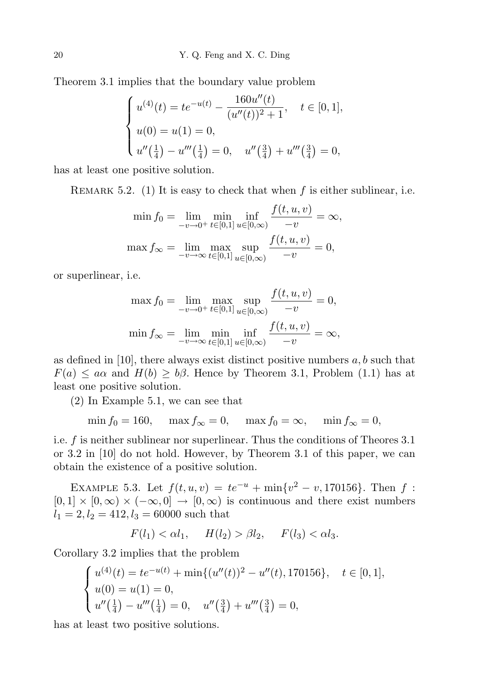Theorem 3.1 implies that the boundary value problem

$$
\begin{cases}\nu^{(4)}(t) = te^{-u(t)} - \frac{160u''(t)}{(u''(t))^2 + 1}, & t \in [0, 1], \\
u(0) = u(1) = 0, \\
u''(\frac{1}{4}) - u'''(\frac{1}{4}) = 0, & u''(\frac{3}{4}) + u'''(\frac{3}{4}) = 0,\n\end{cases}
$$

has at least one positive solution.

REMARK 5.2. (1) It is easy to check that when  $f$  is either sublinear, i.e.

$$
\min f_0 = \lim_{-v \to 0^+} \min_{t \in [0,1]} \inf_{u \in [0,\infty)} \frac{f(t,u,v)}{-v} = \infty,
$$
  

$$
\max f_{\infty} = \lim_{-v \to \infty} \max_{t \in [0,1]} \sup_{u \in [0,\infty)} \frac{f(t,u,v)}{-v} = 0,
$$

or superlinear, i.e.

$$
\max f_0 = \lim_{-v \to 0^+} \max_{t \in [0,1]} \sup_{u \in [0,\infty)} \frac{f(t,u,v)}{-v} = 0,
$$
  

$$
\min f_{\infty} = \lim_{-v \to \infty} \min_{t \in [0,1]} \inf_{u \in [0,\infty)} \frac{f(t,u,v)}{-v} = \infty,
$$

as defined in [10], there always exist distinct positive numbers  $a, b$  such that  $F(a) \leq a\alpha$  and  $H(b) \geq b\beta$ . Hence by Theorem 3.1, Problem (1.1) has at least one positive solution.

(2) In Example 5.1, we can see that

$$
\min f_0 = 160, \quad \max f_\infty = 0, \quad \max f_0 = \infty, \quad \min f_\infty = 0,
$$

i.e. f is neither sublinear nor superlinear. Thus the conditions of Theores 3.1 or 3.2 in [10] do not hold. However, by Theorem 3.1 of this paper, we can obtain the existence of a positive solution.

EXAMPLE 5.3. Let  $f(t, u, v) = te^{-u} + \min\{v^2 - v, 170156\}$ . Then f:  $[0, 1] \times [0, \infty) \times (-\infty, 0] \rightarrow [0, \infty)$  is continuous and there exist numbers  $l_1 = 2, l_2 = 412, l_3 = 60000$  such that

$$
F(l_1) < \alpha l_1, \quad H(l_2) > \beta l_2, \quad F(l_3) < \alpha l_3.
$$

Corollary 3.2 implies that the problem

$$
\begin{cases}\nu^{(4)}(t) = te^{-u(t)} + \min\{(u''(t))^2 - u''(t), 170156\}, & t \in [0, 1], \\
u(0) = u(1) = 0, \\
u''(\frac{1}{4}) - u'''(\frac{1}{4}) = 0, & u''(\frac{3}{4}) + u'''(\frac{3}{4}) = 0,\n\end{cases}
$$

has at least two positive solutions.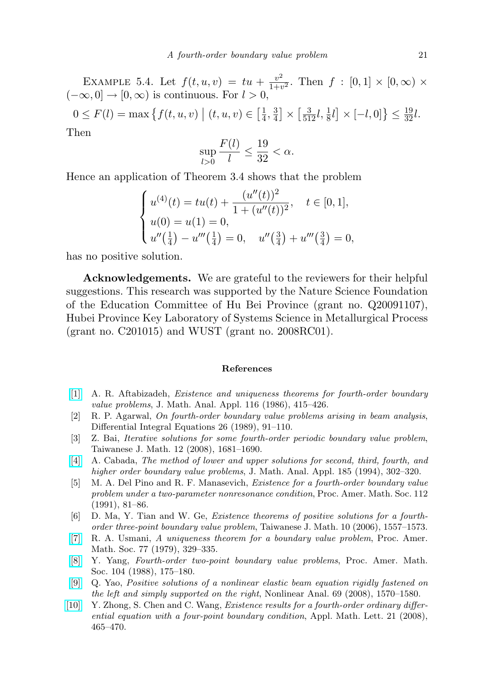EXAMPLE 5.4. Let  $f(t, u, v) = tu + \frac{v^2}{1 + v^2}$  $\frac{v^2}{1+v^2}$ . Then  $f : [0,1] \times [0,\infty) \times$  $(-\infty, 0] \rightarrow [0, \infty)$  is continuous. For  $l > 0$ ,  $0 \le F(l) = \max \{ f(t, u, v) \mid (t, u, v) \in \left[\frac{1}{4}\right]$  $\frac{1}{4}, \frac{3}{4}$  $\frac{3}{4} \times \left[ \frac{3}{512}l, \frac{1}{8}l \right] \times \left[ -l, 0 \right] \leq \frac{19}{32}l.$ Then

$$
\sup_{l>0} \frac{F(l)}{l} \le \frac{19}{32} < \alpha.
$$

Hence an application of Theorem 3.4 shows that the problem

$$
\begin{cases}\nu^{(4)}(t) = tu(t) + \frac{(u''(t))^2}{1 + (u''(t))^2}, & t \in [0, 1], \\
u(0) = u(1) = 0, \\
u''(\frac{1}{4}) - u'''(\frac{1}{4}) = 0, & u''(\frac{3}{4}) + u'''(\frac{3}{4}) = 0,\n\end{cases}
$$

has no positive solution.

Acknowledgements. We are grateful to the reviewers for their helpful suggestions. This research was supported by the Nature Science Foundation of the Education Committee of Hu Bei Province (grant no. Q20091107), Hubei Province Key Laboratory of Systems Science in Metallurgical Process (grant no. C201015) and WUST (grant no. 2008RC01).

## References

- [\[1\]](http://dx.doi.org/10.1016/S0022-247X(86)80006-3) A. R. Aftabizadeh, Existence and uniqueness theorems for fourth-order boundary value problems, J. Math. Anal. Appl. 116 (1986), 415–426.
- [2] R. P. Agarwal, On fourth-order boundary value problems arising in beam analysis, Differential Integral Equations 26 (1989), 91–110.
- [3] Z. Bai, Iterative solutions for some fourth-order periodic boundary value problem, Taiwanese J. Math. 12 (2008), 1681–1690.
- [\[4\]](http://dx.doi.org/10.1006/jmaa.1994.1250) A. Cabada, The method of lower and upper solutions for second, third, fourth, and higher order boundary value problems, J. Math. Anal. Appl. 185 (1994), 302–320.
- [5] M. A. Del Pino and R. F. Manasevich, Existence for a fourth-order boundary value problem under a two-parameter nonresonance condition, Proc. Amer. Math. Soc. 112 (1991), 81–86.
- [6] D. Ma, Y. Tian and W. Ge, Existence theorems of positive solutions for a fourthorder three-point boundary value problem, Taiwanese J. Math. 10 (2006), 1557–1573.
- [\[7\]](http://dx.doi.org/10.1090/S0002-9939-1979-0545591-4) R. A. Usmani, A uniqueness theorem for a boundary value problem, Proc. Amer. Math. Soc. 77 (1979), 329–335.
- [\[8\]](http://dx.doi.org/10.1090/S0002-9939-1988-0958062-3) Y. Yang, Fourth-order two-point boundary value problems, Proc. Amer. Math. Soc. 104 (1988), 175–180.
- [\[9\]](http://dx.doi.org/10.1016/j.na.2007.07.002) Q. Yao, Positive solutions of a nonlinear elastic beam equation rigidly fastened on the left and simply supported on the right, Nonlinear Anal. 69 (2008), 1570–1580.
- [\[10\]](http://dx.doi.org/10.1016/j.aml.2007.03.029) Y. Zhong, S. Chen and C. Wang, Existence results for a fourth-order ordinary differential equation with a four-point boundary condition, Appl. Math. Lett. 21 (2008), 465–470.